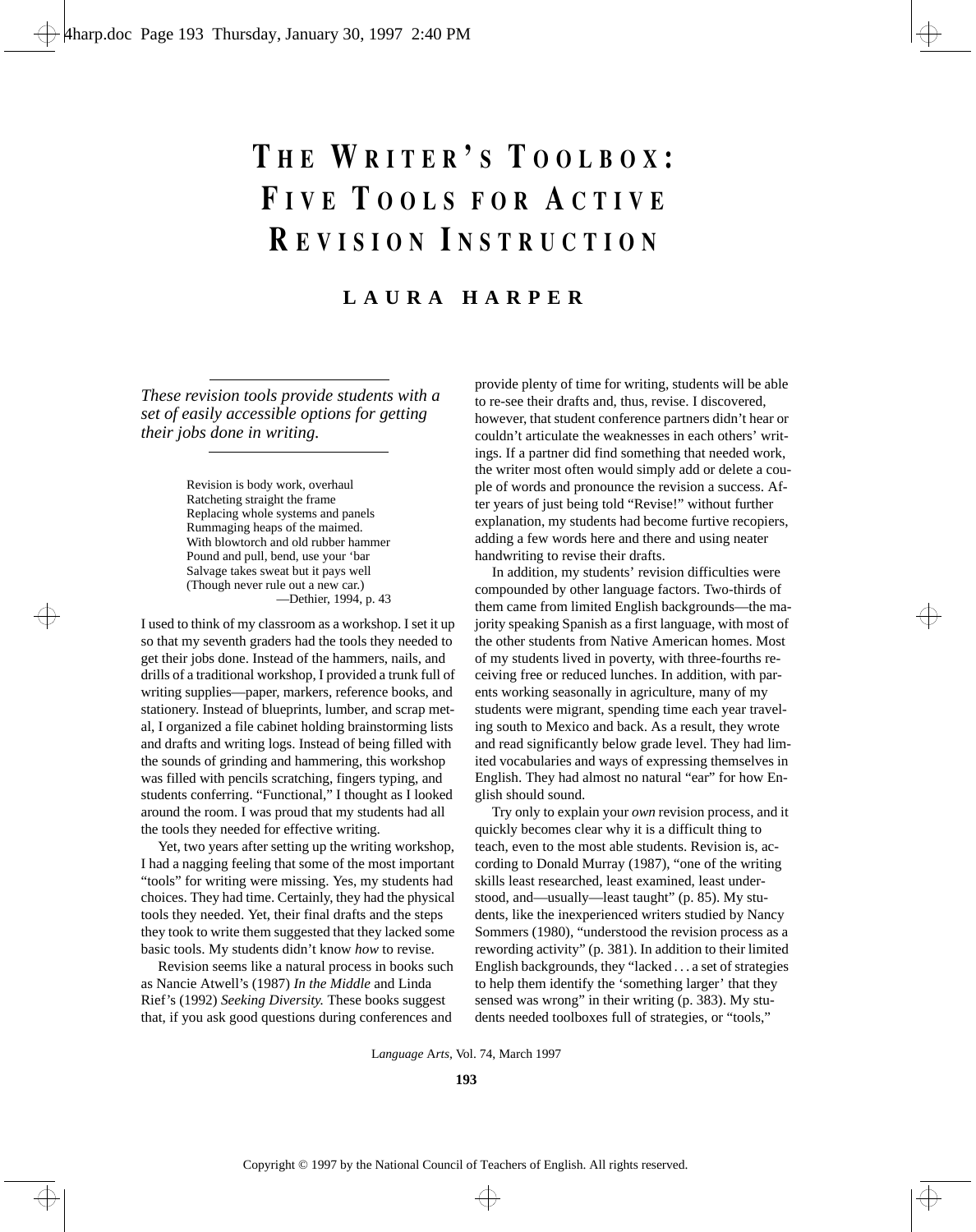# **T H E W RITER ' S T OOLBOX : F IVE T OOLS FOR A CTIVE R EVISION I NSTRUCTION**

# **LAURA HARPER**

*These revision tools provide students with a set of easily accessible options for getting their jobs done in writing.*

> Revision is body work, overhaul Ratcheting straight the frame Replacing whole systems and panels Rummaging heaps of the maimed. With blowtorch and old rubber hammer Pound and pull, bend, use your 'bar Salvage takes sweat but it pays well (Though never rule out a new car.) —Dethier, 1994, p. 43

I used to think of my classroom as a workshop. I set it up so that my seventh graders had the tools they needed to get their jobs done. Instead of the hammers, nails, and drills of a traditional workshop, I provided a trunk full of writing supplies—paper, markers, reference books, and stationery. Instead of blueprints, lumber, and scrap metal, I organized a file cabinet holding brainstorming lists and drafts and writing logs. Instead of being filled with the sounds of grinding and hammering, this workshop was filled with pencils scratching, fingers typing, and students conferring. "Functional," I thought as I looked around the room. I was proud that my students had all the tools they needed for effective writing.

Yet, two years after setting up the writing workshop, I had a nagging feeling that some of the most important "tools" for writing were missing. Yes, my students had choices. They had time. Certainly, they had the physical tools they needed. Yet, their final drafts and the steps they took to write them suggested that they lacked some basic tools. My students didn't know *how* to revise.

Revision seems like a natural process in books such as Nancie Atwell's (1987) *In the Middle* and Linda Rief's (1992) *Seeking Diversity.* These books suggest that, if you ask good questions during conferences and

provide plenty of time for writing, students will be able to re-see their drafts and, thus, revise. I discovered, however, that student conference partners didn't hear or couldn't articulate the weaknesses in each others' writings. If a partner did find something that needed work, the writer most often would simply add or delete a couple of words and pronounce the revision a success. After years of just being told "Revise!" without further explanation, my students had become furtive recopiers, adding a few words here and there and using neater handwriting to revise their drafts.

In addition, my students' revision difficulties were compounded by other language factors. Two-thirds of them came from limited English backgrounds—the majority speaking Spanish as a first language, with most of the other students from Native American homes. Most of my students lived in poverty, with three-fourths receiving free or reduced lunches. In addition, with parents working seasonally in agriculture, many of my students were migrant, spending time each year traveling south to Mexico and back. As a result, they wrote and read significantly below grade level. They had limited vocabularies and ways of expressing themselves in English. They had almost no natural "ear" for how English should sound.

Try only to explain your *own* revision process, and it quickly becomes clear why it is a difficult thing to teach, even to the most able students. Revision is, according to Donald Murray (1987), "one of the writing skills least researched, least examined, least understood, and—usually—least taught" (p. 85). My students, like the inexperienced writers studied by Nancy Sommers (1980), "understood the revision process as a rewording activity" (p. 381). In addition to their limited English backgrounds, they "lacked . . . a set of strategies to help them identify the 'something larger' that they sensed was wrong" in their writing (p. 383). My students needed toolboxes full of strategies, or "tools,"

L*anguage* A*rts,* Vol. 74, March 1997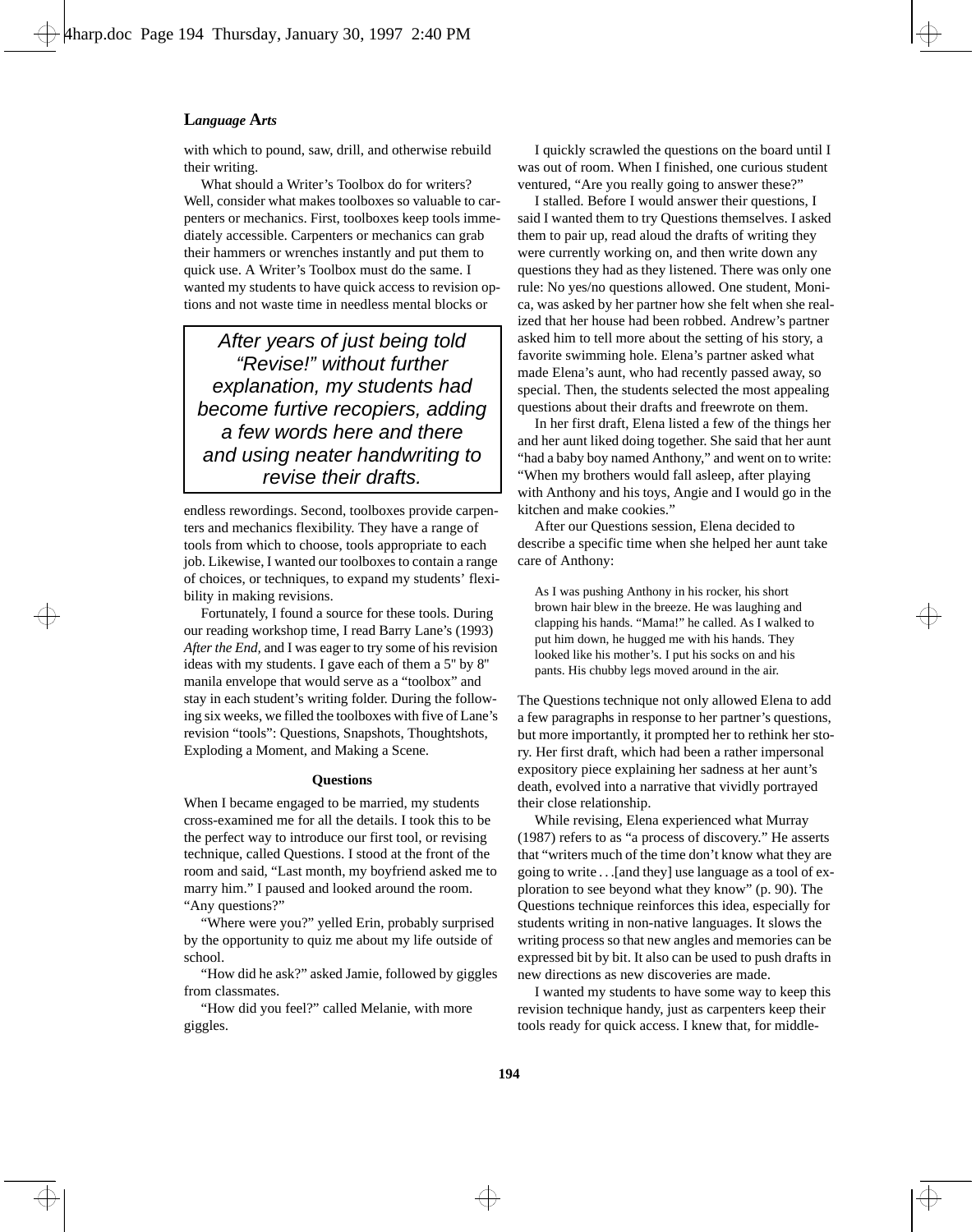with which to pound, saw, drill, and otherwise rebuild their writing.

What should a Writer's Toolbox do for writers? Well, consider what makes toolboxes so valuable to carpenters or mechanics. First, toolboxes keep tools immediately accessible. Carpenters or mechanics can grab their hammers or wrenches instantly and put them to quick use. A Writer's Toolbox must do the same. I wanted my students to have quick access to revision options and not waste time in needless mental blocks or

After years of just being told "Revise!" without further explanation, my students had become furtive recopiers, adding a few words here and there and using neater handwriting to revise their drafts.

endless rewordings. Second, toolboxes provide carpenters and mechanics flexibility. They have a range of tools from which to choose, tools appropriate to each job. Likewise, I wanted our toolboxes to contain a range of choices, or techniques, to expand my students' flexibility in making revisions.

Fortunately, I found a source for these tools. During our reading workshop time, I read Barry Lane's (1993) *After the End,* and I was eager to try some of his revision ideas with my students. I gave each of them a 5'' by 8'' manila envelope that would serve as a "toolbox" and stay in each student's writing folder. During the following six weeks, we filled the toolboxes with five of Lane's revision "tools": Questions, Snapshots, Thoughtshots, Exploding a Moment, and Making a Scene.

#### **Questions**

When I became engaged to be married, my students cross-examined me for all the details. I took this to be the perfect way to introduce our first tool, or revising technique, called Questions. I stood at the front of the room and said, "Last month, my boyfriend asked me to marry him." I paused and looked around the room. "Any questions?"

"Where were you?" yelled Erin, probably surprised by the opportunity to quiz me about my life outside of school.

"How did he ask?" asked Jamie, followed by giggles from classmates.

"How did you feel?" called Melanie, with more giggles.

I quickly scrawled the questions on the board until I was out of room. When I finished, one curious student ventured, "Are you really going to answer these?"

I stalled. Before I would answer their questions, I said I wanted them to try Questions themselves. I asked them to pair up, read aloud the drafts of writing they were currently working on, and then write down any questions they had as they listened. There was only one rule: No yes/no questions allowed. One student, Monica, was asked by her partner how she felt when she realized that her house had been robbed. Andrew's partner asked him to tell more about the setting of his story, a favorite swimming hole. Elena's partner asked what made Elena's aunt, who had recently passed away, so special. Then, the students selected the most appealing questions about their drafts and freewrote on them.

In her first draft, Elena listed a few of the things her and her aunt liked doing together. She said that her aunt "had a baby boy named Anthony," and went on to write: "When my brothers would fall asleep, after playing with Anthony and his toys, Angie and I would go in the kitchen and make cookies."

After our Questions session, Elena decided to describe a specific time when she helped her aunt take care of Anthony:

As I was pushing Anthony in his rocker, his short brown hair blew in the breeze. He was laughing and clapping his hands. "Mama!" he called. As I walked to put him down, he hugged me with his hands. They looked like his mother's. I put his socks on and his pants. His chubby legs moved around in the air.

The Questions technique not only allowed Elena to add a few paragraphs in response to her partner's questions, but more importantly, it prompted her to rethink her story. Her first draft, which had been a rather impersonal expository piece explaining her sadness at her aunt's death, evolved into a narrative that vividly portrayed their close relationship.

While revising, Elena experienced what Murray (1987) refers to as "a process of discovery." He asserts that "writers much of the time don't know what they are going to write . . .[and they] use language as a tool of exploration to see beyond what they know" (p. 90). The Questions technique reinforces this idea, especially for students writing in non-native languages. It slows the writing process so that new angles and memories can be expressed bit by bit. It also can be used to push drafts in new directions as new discoveries are made.

I wanted my students to have some way to keep this revision technique handy, just as carpenters keep their tools ready for quick access. I knew that, for middle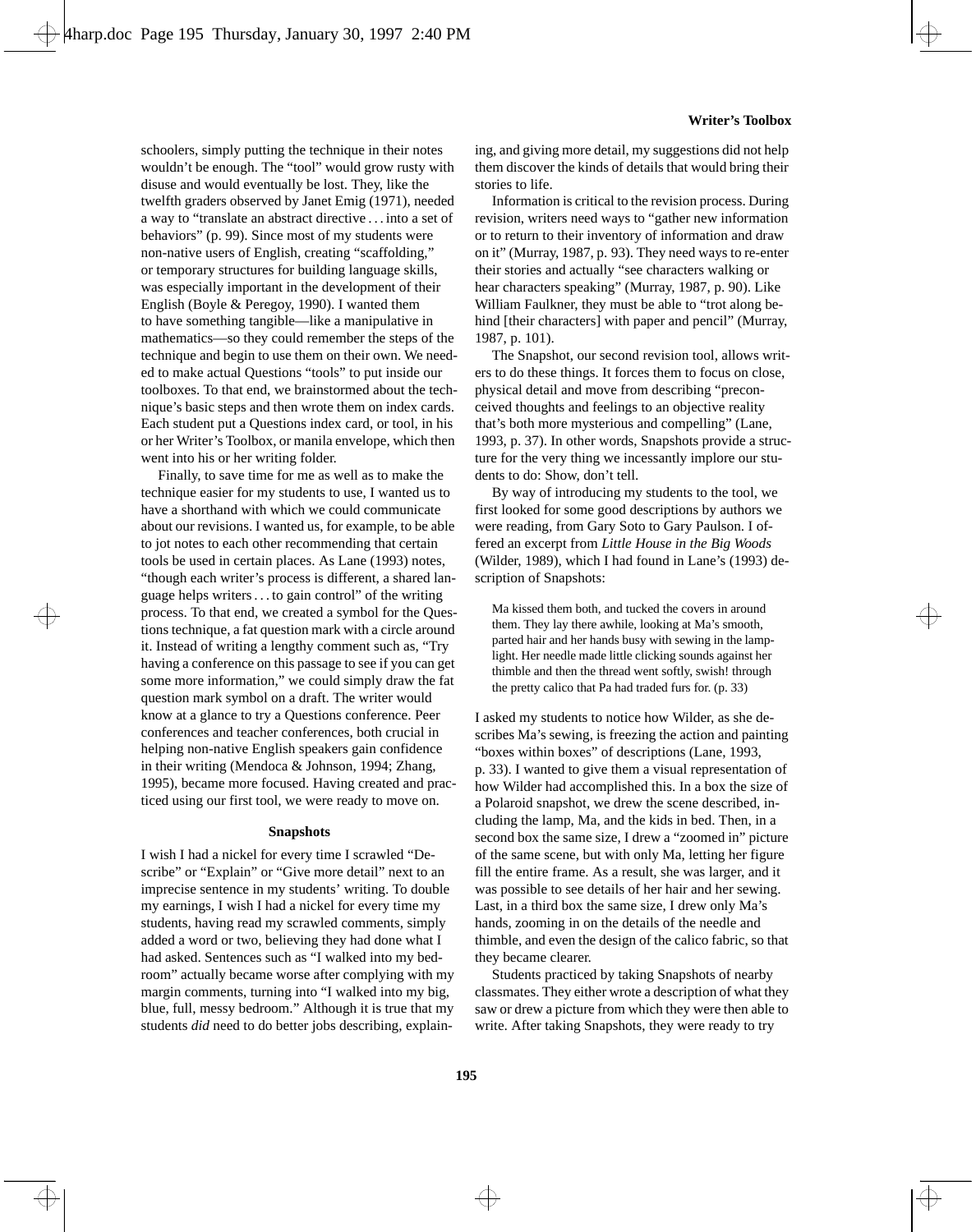schoolers, simply putting the technique in their notes wouldn't be enough. The "tool" would grow rusty with disuse and would eventually be lost. They, like the twelfth graders observed by Janet Emig (1971), needed a way to "translate an abstract directive . . . into a set of behaviors" (p. 99). Since most of my students were non-native users of English, creating "scaffolding," or temporary structures for building language skills, was especially important in the development of their English (Boyle & Peregoy, 1990). I wanted them to have something tangible—like a manipulative in mathematics—so they could remember the steps of the technique and begin to use them on their own. We needed to make actual Questions "tools" to put inside our toolboxes. To that end, we brainstormed about the technique's basic steps and then wrote them on index cards. Each student put a Questions index card, or tool, in his or her Writer's Toolbox, or manila envelope, which then went into his or her writing folder.

Finally, to save time for me as well as to make the technique easier for my students to use, I wanted us to have a shorthand with which we could communicate about our revisions. I wanted us, for example, to be able to jot notes to each other recommending that certain tools be used in certain places. As Lane (1993) notes, "though each writer's process is different, a shared language helps writers . . . to gain control" of the writing process. To that end, we created a symbol for the Questions technique, a fat question mark with a circle around it. Instead of writing a lengthy comment such as, "Try having a conference on this passage to see if you can get some more information," we could simply draw the fat question mark symbol on a draft. The writer would know at a glance to try a Questions conference. Peer conferences and teacher conferences, both crucial in helping non-native English speakers gain confidence in their writing (Mendoca & Johnson, 1994; Zhang, 1995), became more focused. Having created and practiced using our first tool, we were ready to move on.

#### **Snapshots**

I wish I had a nickel for every time I scrawled "Describe" or "Explain" or "Give more detail" next to an imprecise sentence in my students' writing. To double my earnings, I wish I had a nickel for every time my students, having read my scrawled comments, simply added a word or two, believing they had done what I had asked. Sentences such as "I walked into my bedroom" actually became worse after complying with my margin comments, turning into "I walked into my big, blue, full, messy bedroom." Although it is true that my students *did* need to do better jobs describing, explaining, and giving more detail, my suggestions did not help them discover the kinds of details that would bring their stories to life.

Information is critical to the revision process. During revision, writers need ways to "gather new information or to return to their inventory of information and draw on it" (Murray, 1987, p. 93). They need ways to re-enter their stories and actually "see characters walking or hear characters speaking" (Murray, 1987, p. 90). Like William Faulkner, they must be able to "trot along behind [their characters] with paper and pencil" (Murray, 1987, p. 101).

The Snapshot, our second revision tool, allows writers to do these things. It forces them to focus on close, physical detail and move from describing "preconceived thoughts and feelings to an objective reality that's both more mysterious and compelling" (Lane, 1993, p. 37). In other words, Snapshots provide a structure for the very thing we incessantly implore our students to do: Show, don't tell.

By way of introducing my students to the tool, we first looked for some good descriptions by authors we were reading, from Gary Soto to Gary Paulson. I offered an excerpt from *Little House in the Big Woods* (Wilder, 1989), which I had found in Lane's (1993) description of Snapshots:

Ma kissed them both, and tucked the covers in around them. They lay there awhile, looking at Ma's smooth, parted hair and her hands busy with sewing in the lamplight. Her needle made little clicking sounds against her thimble and then the thread went softly, swish! through the pretty calico that Pa had traded furs for. (p. 33)

I asked my students to notice how Wilder, as she describes Ma's sewing, is freezing the action and painting "boxes within boxes" of descriptions (Lane, 1993, p. 33). I wanted to give them a visual representation of how Wilder had accomplished this. In a box the size of a Polaroid snapshot, we drew the scene described, including the lamp, Ma, and the kids in bed. Then, in a second box the same size, I drew a "zoomed in" picture of the same scene, but with only Ma, letting her figure fill the entire frame. As a result, she was larger, and it was possible to see details of her hair and her sewing. Last, in a third box the same size, I drew only Ma's hands, zooming in on the details of the needle and thimble, and even the design of the calico fabric, so that they became clearer.

Students practiced by taking Snapshots of nearby classmates. They either wrote a description of what they saw or drew a picture from which they were then able to write. After taking Snapshots, they were ready to try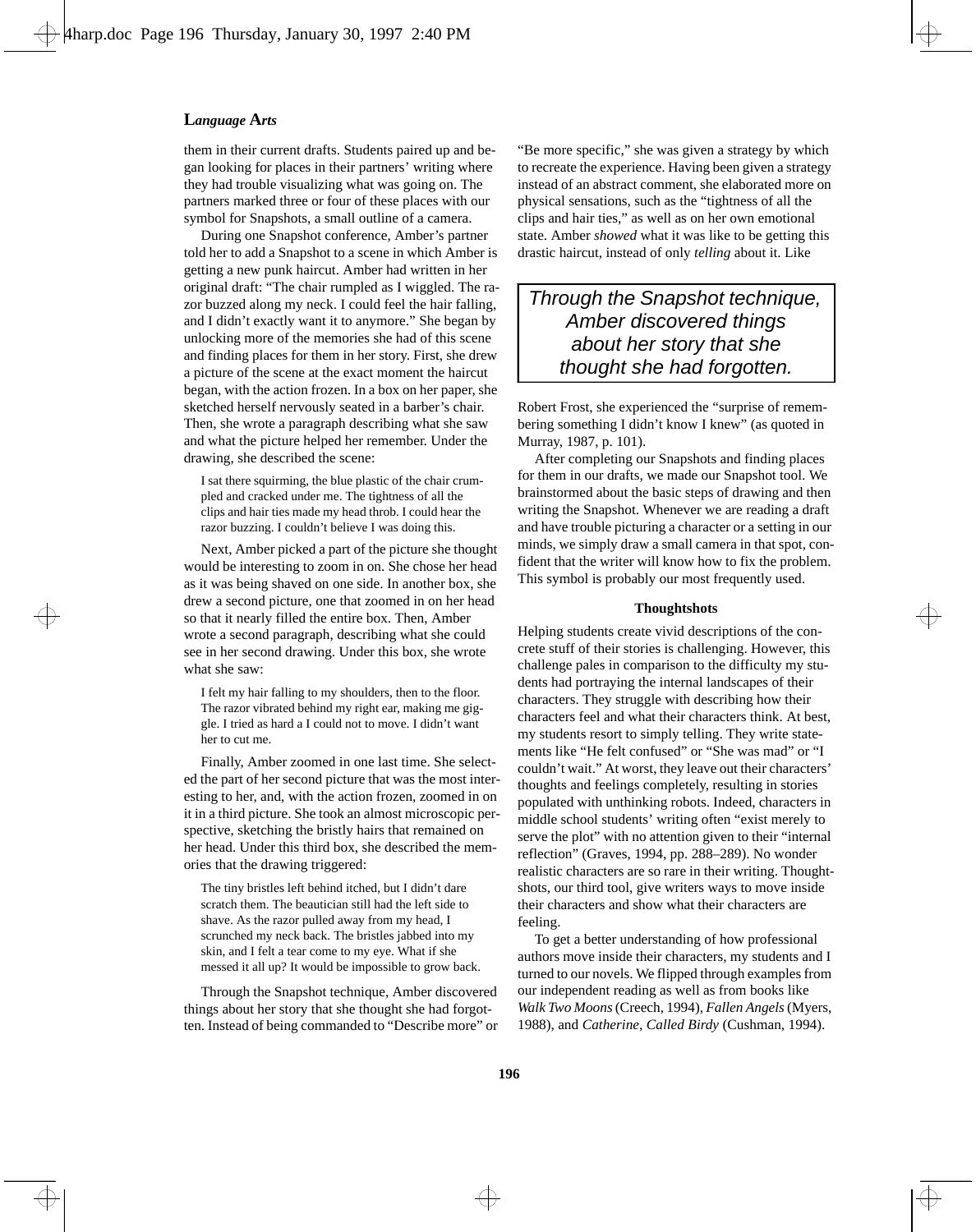them in their current drafts. Students paired up and began looking for places in their partners' writing where they had trouble visualizing what was going on. The partners marked three or four of these places with our symbol for Snapshots, a small outline of a camera.

During one Snapshot conference, Amber's partner told her to add a Snapshot to a scene in which Amber is getting a new punk haircut. Amber had written in her original draft: "The chair rumpled as I wiggled. The razor buzzed along my neck. I could feel the hair falling, and I didn't exactly want it to anymore." She began by unlocking more of the memories she had of this scene and finding places for them in her story. First, she drew a picture of the scene at the exact moment the haircut began, with the action frozen. In a box on her paper, she sketched herself nervously seated in a barber's chair. Then, she wrote a paragraph describing what she saw and what the picture helped her remember. Under the drawing, she described the scene:

I sat there squirming, the blue plastic of the chair crumpled and cracked under me. The tightness of all the clips and hair ties made my head throb. I could hear the razor buzzing. I couldn't believe I was doing this.

Next, Amber picked a part of the picture she thought would be interesting to zoom in on. She chose her head as it was being shaved on one side. In another box, she drew a second picture, one that zoomed in on her head so that it nearly filled the entire box. Then, Amber wrote a second paragraph, describing what she could see in her second drawing. Under this box, she wrote what she saw:

I felt my hair falling to my shoulders, then to the floor. The razor vibrated behind my right ear, making me giggle. I tried as hard a I could not to move. I didn't want her to cut me.

Finally, Amber zoomed in one last time. She selected the part of her second picture that was the most interesting to her, and, with the action frozen, zoomed in on it in a third picture. She took an almost microscopic perspective, sketching the bristly hairs that remained on her head. Under this third box, she described the memories that the drawing triggered:

The tiny bristles left behind itched, but I didn't dare scratch them. The beautician still had the left side to shave. As the razor pulled away from my head, I scrunched my neck back. The bristles jabbed into my skin, and I felt a tear come to my eye. What if she messed it all up? It would be impossible to grow back.

Through the Snapshot technique, Amber discovered things about her story that she thought she had forgotten. Instead of being commanded to "Describe more" or "Be more specific," she was given a strategy by which to recreate the experience. Having been given a strategy instead of an abstract comment, she elaborated more on physical sensations, such as the "tightness of all the clips and hair ties," as well as on her own emotional state. Amber *showed* what it was like to be getting this drastic haircut, instead of only *telling* about it. Like

Through the Snapshot technique, Amber discovered things about her story that she thought she had forgotten.

Robert Frost, she experienced the "surprise of remembering something I didn't know I knew" (as quoted in Murray, 1987, p. 101).

After completing our Snapshots and finding places for them in our drafts, we made our Snapshot tool. We brainstormed about the basic steps of drawing and then writing the Snapshot. Whenever we are reading a draft and have trouble picturing a character or a setting in our minds, we simply draw a small camera in that spot, confident that the writer will know how to fix the problem. This symbol is probably our most frequently used.

#### **Thoughtshots**

Helping students create vivid descriptions of the concrete stuff of their stories is challenging. However, this challenge pales in comparison to the difficulty my students had portraying the internal landscapes of their characters. They struggle with describing how their characters feel and what their characters think. At best, my students resort to simply telling. They write statements like "He felt confused" or "She was mad" or "I couldn't wait." At worst, they leave out their characters' thoughts and feelings completely, resulting in stories populated with unthinking robots. Indeed, characters in middle school students' writing often "exist merely to serve the plot" with no attention given to their "internal reflection" (Graves, 1994, pp. 288–289). No wonder realistic characters are so rare in their writing. Thoughtshots, our third tool, give writers ways to move inside their characters and show what their characters are feeling.

To get a better understanding of how professional authors move inside their characters, my students and I turned to our novels. We flipped through examples from our independent reading as well as from books like *Walk Two Moons* (Creech, 1994), *Fallen Angels* (Myers, 1988), and *Catherine, Called Birdy* (Cushman, 1994).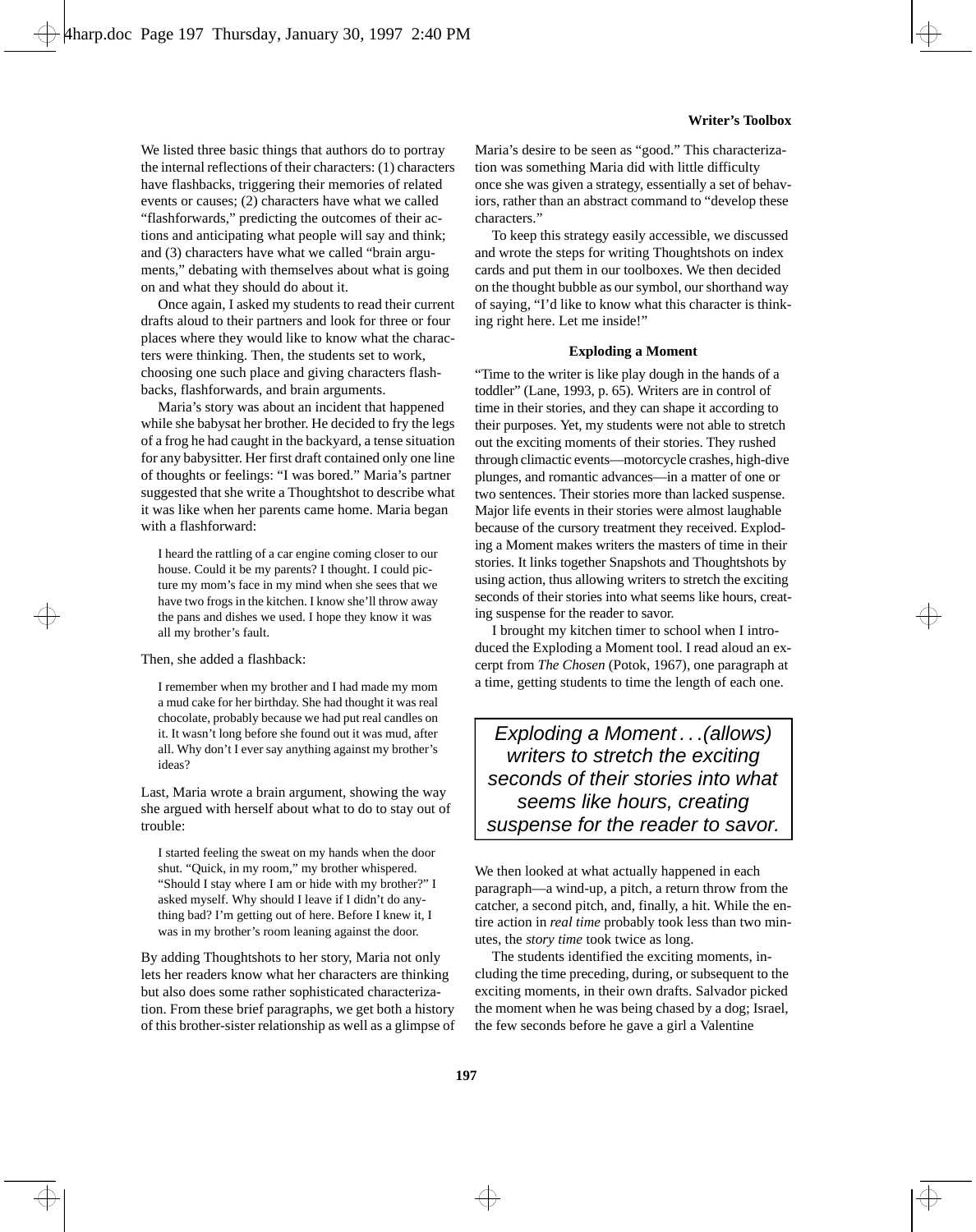We listed three basic things that authors do to portray the internal reflections of their characters: (1) characters have flashbacks, triggering their memories of related events or causes; (2) characters have what we called "flashforwards," predicting the outcomes of their actions and anticipating what people will say and think; and (3) characters have what we called "brain arguments," debating with themselves about what is going on and what they should do about it.

Once again, I asked my students to read their current drafts aloud to their partners and look for three or four places where they would like to know what the characters were thinking. Then, the students set to work, choosing one such place and giving characters flashbacks, flashforwards, and brain arguments.

Maria's story was about an incident that happened while she babysat her brother. He decided to fry the legs of a frog he had caught in the backyard, a tense situation for any babysitter. Her first draft contained only one line of thoughts or feelings: "I was bored." Maria's partner suggested that she write a Thoughtshot to describe what it was like when her parents came home. Maria began with a flashforward:

I heard the rattling of a car engine coming closer to our house. Could it be my parents? I thought. I could picture my mom's face in my mind when she sees that we have two frogs in the kitchen. I know she'll throw away the pans and dishes we used. I hope they know it was all my brother's fault.

Then, she added a flashback:

I remember when my brother and I had made my mom a mud cake for her birthday. She had thought it was real chocolate, probably because we had put real candles on it. It wasn't long before she found out it was mud, after all. Why don't I ever say anything against my brother's ideas?

Last, Maria wrote a brain argument, showing the way she argued with herself about what to do to stay out of trouble:

I started feeling the sweat on my hands when the door shut. "Quick, in my room," my brother whispered. "Should I stay where I am or hide with my brother?" I asked myself. Why should I leave if I didn't do anything bad? I'm getting out of here. Before I knew it, I was in my brother's room leaning against the door.

By adding Thoughtshots to her story, Maria not only lets her readers know what her characters are thinking but also does some rather sophisticated characterization. From these brief paragraphs, we get both a history of this brother-sister relationship as well as a glimpse of

Maria's desire to be seen as "good." This characterization was something Maria did with little difficulty once she was given a strategy, essentially a set of behaviors, rather than an abstract command to "develop these characters."

To keep this strategy easily accessible, we discussed and wrote the steps for writing Thoughtshots on index cards and put them in our toolboxes. We then decided on the thought bubble as our symbol, our shorthand way of saying, "I'd like to know what this character is thinking right here. Let me inside!"

#### **Exploding a Moment**

"Time to the writer is like play dough in the hands of a toddler" (Lane, 1993, p. 65). Writers are in control of time in their stories, and they can shape it according to their purposes. Yet, my students were not able to stretch out the exciting moments of their stories. They rushed through climactic events—motorcycle crashes, high-dive plunges, and romantic advances—in a matter of one or two sentences. Their stories more than lacked suspense. Major life events in their stories were almost laughable because of the cursory treatment they received. Exploding a Moment makes writers the masters of time in their stories. It links together Snapshots and Thoughtshots by using action, thus allowing writers to stretch the exciting seconds of their stories into what seems like hours, creating suspense for the reader to savor.

I brought my kitchen timer to school when I introduced the Exploding a Moment tool. I read aloud an excerpt from *The Chosen* (Potok, 1967), one paragraph at a time, getting students to time the length of each one.

Exploding a Moment...(allows) writers to stretch the exciting seconds of their stories into what seems like hours, creating suspense for the reader to savor.

We then looked at what actually happened in each paragraph—a wind-up, a pitch, a return throw from the catcher, a second pitch, and, finally, a hit. While the entire action in *real time* probably took less than two minutes, the *story time* took twice as long.

The students identified the exciting moments, including the time preceding, during, or subsequent to the exciting moments, in their own drafts. Salvador picked the moment when he was being chased by a dog; Israel, the few seconds before he gave a girl a Valentine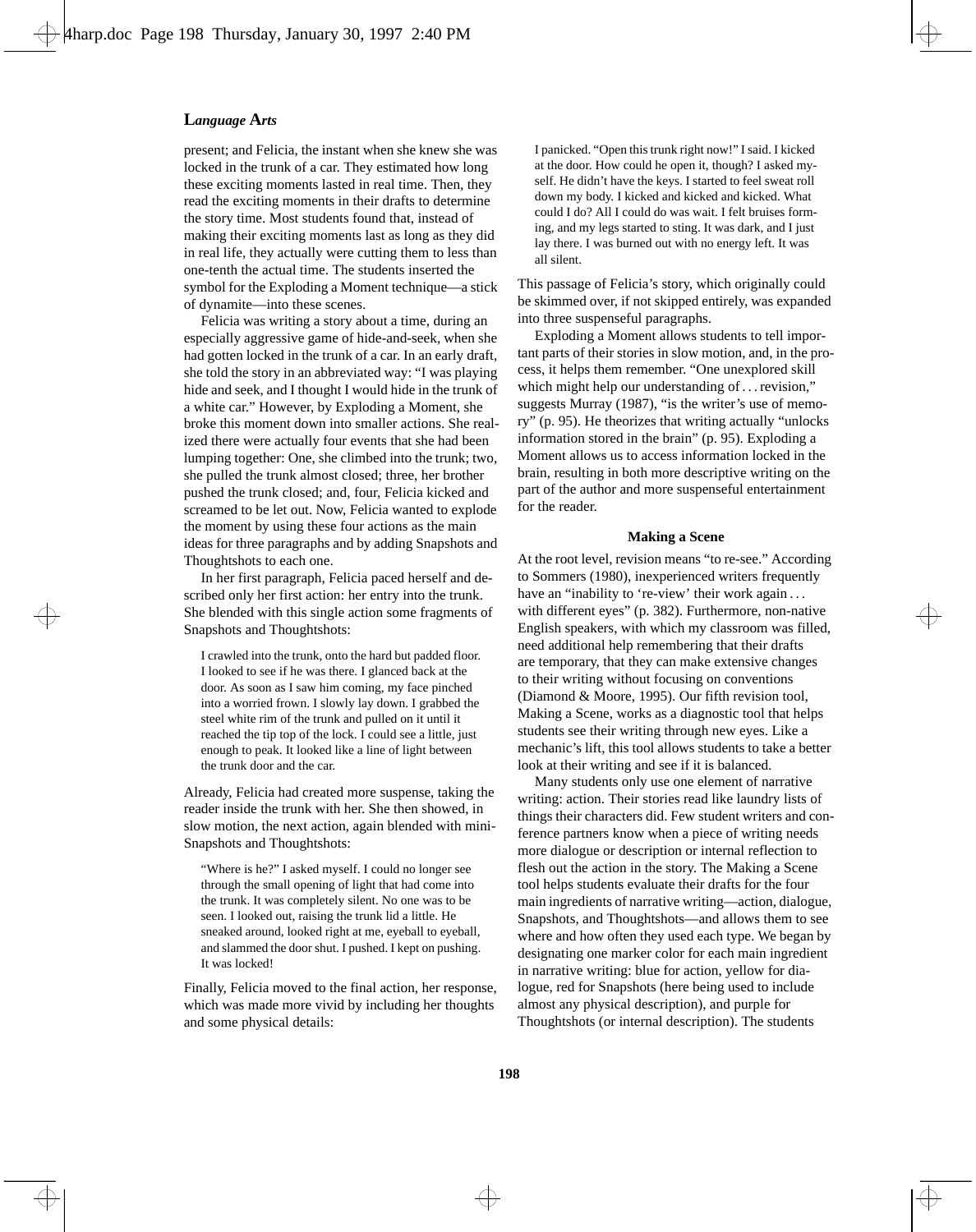present; and Felicia, the instant when she knew she was locked in the trunk of a car. They estimated how long these exciting moments lasted in real time. Then, they read the exciting moments in their drafts to determine the story time. Most students found that, instead of making their exciting moments last as long as they did in real life, they actually were cutting them to less than one-tenth the actual time. The students inserted the symbol for the Exploding a Moment technique—a stick of dynamite—into these scenes.

Felicia was writing a story about a time, during an especially aggressive game of hide-and-seek, when she had gotten locked in the trunk of a car. In an early draft, she told the story in an abbreviated way: "I was playing hide and seek, and I thought I would hide in the trunk of a white car." However, by Exploding a Moment, she broke this moment down into smaller actions. She realized there were actually four events that she had been lumping together: One, she climbed into the trunk; two, she pulled the trunk almost closed; three, her brother pushed the trunk closed; and, four, Felicia kicked and screamed to be let out. Now, Felicia wanted to explode the moment by using these four actions as the main ideas for three paragraphs and by adding Snapshots and Thoughtshots to each one.

In her first paragraph, Felicia paced herself and described only her first action: her entry into the trunk. She blended with this single action some fragments of Snapshots and Thoughtshots:

I crawled into the trunk, onto the hard but padded floor. I looked to see if he was there. I glanced back at the door. As soon as I saw him coming, my face pinched into a worried frown. I slowly lay down. I grabbed the steel white rim of the trunk and pulled on it until it reached the tip top of the lock. I could see a little, just enough to peak. It looked like a line of light between the trunk door and the car.

Already, Felicia had created more suspense, taking the reader inside the trunk with her. She then showed, in slow motion, the next action, again blended with mini-Snapshots and Thoughtshots:

"Where is he?" I asked myself. I could no longer see through the small opening of light that had come into the trunk. It was completely silent. No one was to be seen. I looked out, raising the trunk lid a little. He sneaked around, looked right at me, eyeball to eyeball, and slammed the door shut. I pushed. I kept on pushing. It was locked!

Finally, Felicia moved to the final action, her response, which was made more vivid by including her thoughts and some physical details:

I panicked. "Open this trunk right now!" I said. I kicked at the door. How could he open it, though? I asked myself. He didn't have the keys. I started to feel sweat roll down my body. I kicked and kicked and kicked. What could I do? All I could do was wait. I felt bruises forming, and my legs started to sting. It was dark, and I just lay there. I was burned out with no energy left. It was all silent.

This passage of Felicia's story, which originally could be skimmed over, if not skipped entirely, was expanded into three suspenseful paragraphs.

Exploding a Moment allows students to tell important parts of their stories in slow motion, and, in the process, it helps them remember. "One unexplored skill which might help our understanding of ... revision," suggests Murray (1987), "is the writer's use of memory" (p. 95). He theorizes that writing actually "unlocks information stored in the brain" (p. 95). Exploding a Moment allows us to access information locked in the brain, resulting in both more descriptive writing on the part of the author and more suspenseful entertainment for the reader.

#### **Making a Scene**

At the root level, revision means "to re-see." According to Sommers (1980), inexperienced writers frequently have an "inability to 're-view' their work again ... with different eyes" (p. 382). Furthermore, non-native English speakers, with which my classroom was filled, need additional help remembering that their drafts are temporary, that they can make extensive changes to their writing without focusing on conventions (Diamond & Moore, 1995). Our fifth revision tool, Making a Scene, works as a diagnostic tool that helps students see their writing through new eyes. Like a mechanic's lift, this tool allows students to take a better look at their writing and see if it is balanced.

Many students only use one element of narrative writing: action. Their stories read like laundry lists of things their characters did. Few student writers and conference partners know when a piece of writing needs more dialogue or description or internal reflection to flesh out the action in the story. The Making a Scene tool helps students evaluate their drafts for the four main ingredients of narrative writing—action, dialogue, Snapshots, and Thoughtshots—and allows them to see where and how often they used each type. We began by designating one marker color for each main ingredient in narrative writing: blue for action, yellow for dialogue, red for Snapshots (here being used to include almost any physical description), and purple for Thoughtshots (or internal description). The students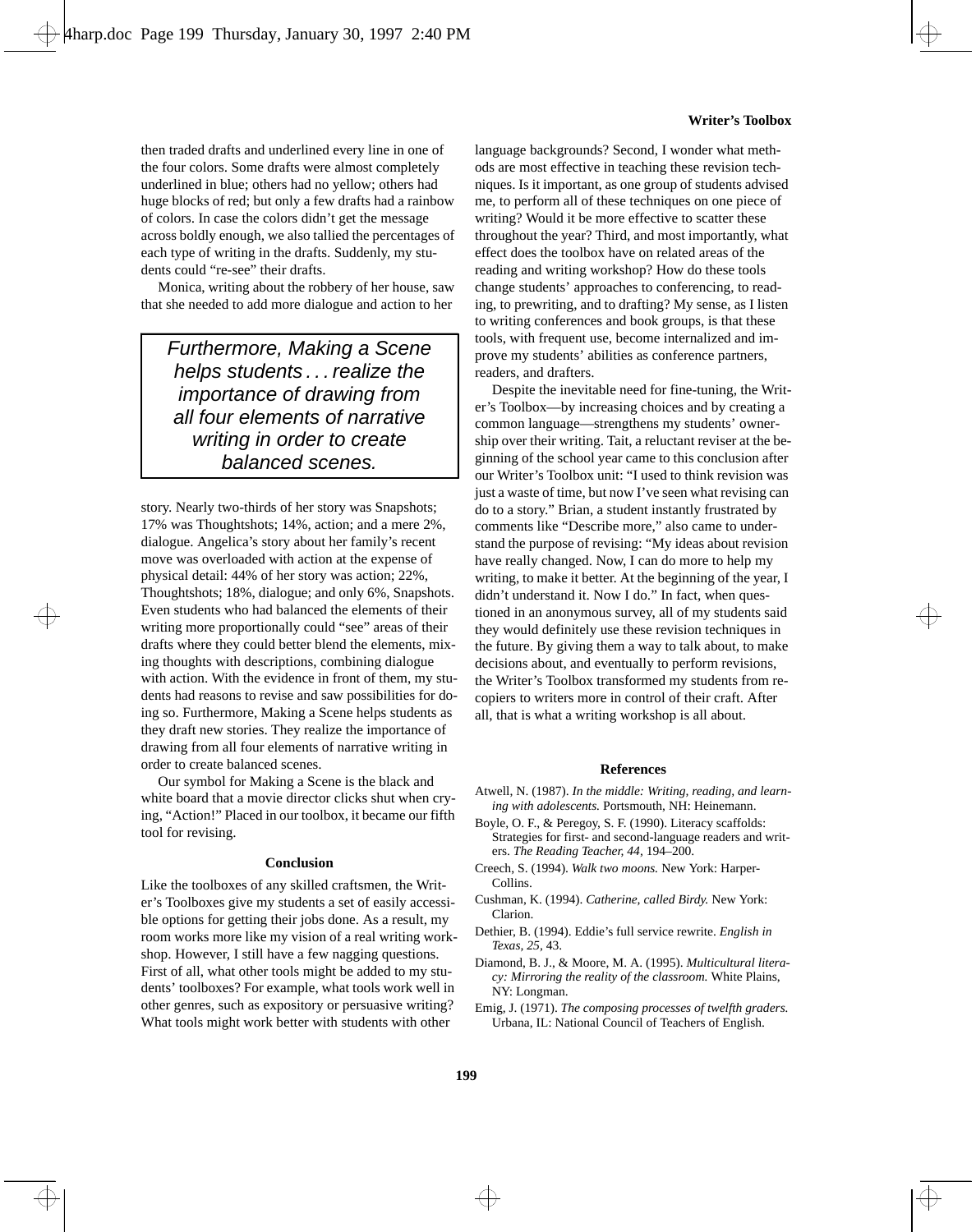then traded drafts and underlined every line in one of the four colors. Some drafts were almost completely underlined in blue; others had no yellow; others had huge blocks of red; but only a few drafts had a rainbow of colors. In case the colors didn't get the message across boldly enough, we also tallied the percentages of each type of writing in the drafts. Suddenly, my students could "re-see" their drafts.

Monica, writing about the robbery of her house, saw that she needed to add more dialogue and action to her

Furthermore, Making a Scene helps students . . . realize the importance of drawing from all four elements of narrative writing in order to create balanced scenes.

story. Nearly two-thirds of her story was Snapshots; 17% was Thoughtshots; 14%, action; and a mere 2%, dialogue. Angelica's story about her family's recent move was overloaded with action at the expense of physical detail: 44% of her story was action; 22%, Thoughtshots; 18%, dialogue; and only 6%, Snapshots. Even students who had balanced the elements of their writing more proportionally could "see" areas of their drafts where they could better blend the elements, mixing thoughts with descriptions, combining dialogue with action. With the evidence in front of them, my students had reasons to revise and saw possibilities for doing so. Furthermore, Making a Scene helps students as they draft new stories. They realize the importance of drawing from all four elements of narrative writing in order to create balanced scenes.

Our symbol for Making a Scene is the black and white board that a movie director clicks shut when crying, "Action!" Placed in our toolbox, it became our fifth tool for revising.

#### **Conclusion**

Like the toolboxes of any skilled craftsmen, the Writer's Toolboxes give my students a set of easily accessible options for getting their jobs done. As a result, my room works more like my vision of a real writing workshop. However, I still have a few nagging questions. First of all, what other tools might be added to my students' toolboxes? For example, what tools work well in other genres, such as expository or persuasive writing? What tools might work better with students with other

language backgrounds? Second, I wonder what methods are most effective in teaching these revision techniques. Is it important, as one group of students advised me, to perform all of these techniques on one piece of writing? Would it be more effective to scatter these throughout the year? Third, and most importantly, what effect does the toolbox have on related areas of the reading and writing workshop? How do these tools change students' approaches to conferencing, to reading, to prewriting, and to drafting? My sense, as I listen to writing conferences and book groups, is that these tools, with frequent use, become internalized and improve my students' abilities as conference partners, readers, and drafters.

Despite the inevitable need for fine-tuning, the Writer's Toolbox—by increasing choices and by creating a common language—strengthens my students' ownership over their writing. Tait, a reluctant reviser at the beginning of the school year came to this conclusion after our Writer's Toolbox unit: "I used to think revision was just a waste of time, but now I've seen what revising can do to a story." Brian, a student instantly frustrated by comments like "Describe more," also came to understand the purpose of revising: "My ideas about revision have really changed. Now, I can do more to help my writing, to make it better. At the beginning of the year, I didn't understand it. Now I do." In fact, when questioned in an anonymous survey, all of my students said they would definitely use these revision techniques in the future. By giving them a way to talk about, to make decisions about, and eventually to perform revisions, the Writer's Toolbox transformed my students from recopiers to writers more in control of their craft. After all, that is what a writing workshop is all about.

#### **References**

- Atwell, N. (1987). *In the middle: Writing, reading, and learning with adolescents.* Portsmouth, NH: Heinemann.
- Boyle, O. F., & Peregoy, S. F. (1990). Literacy scaffolds: Strategies for first- and second-language readers and writers. *The Reading Teacher, 44,* 194–200.
- Creech, S. (1994). *Walk two moons.* New York: Harper-Collins.
- Cushman, K. (1994). *Catherine, called Birdy.* New York: Clarion.
- Dethier, B. (1994). Eddie's full service rewrite. *English in Texas, 25,* 43.
- Diamond, B. J., & Moore, M. A. (1995). *Multicultural literacy: Mirroring the reality of the classroom.* White Plains, NY: Longman.
- Emig, J. (1971). *The composing processes of twelfth graders.* Urbana, IL: National Council of Teachers of English.